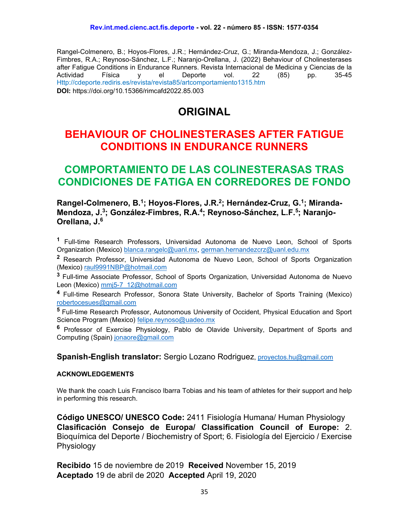Rangel-Colmenero, B.; Hoyos-Flores, J.R.; Hernández-Cruz, G.; Miranda-Mendoza, J.; González-Fimbres, R.A.; Reynoso-Sánchez, L.F.; Naranjo-Orellana, J. (2022) Behaviour of Cholinesterases after Fatigue Conditions in Endurance Runners. Revista Internacional de Medicina y Ciencias de la<br>Actividad Física vel Deporte vol. 22 (85) pp. 35-45 Actividad Física y el Deporte vol. 22 (85) pp. 35-45 Http://cdeporte.rediris.es/revista/revista85/artcomportamiento1315.htm **DOI:** https://doi.org/10.15366/rimcafd2022.85.003

# **ORIGINAL**

# **BEHAVIOUR OF CHOLINESTERASES AFTER FATIGUE CONDITIONS IN ENDURANCE RUNNERS**

# **COMPORTAMIENTO DE LAS COLINESTERASAS TRAS CONDICIONES DE FATIGA EN CORREDORES DE FONDO**

**Rangel-Colmenero, B.1; Hoyos-Flores, J.R.2; Hernández-Cruz, G.1; Miranda-Mendoza, J.3; González-Fimbres, R.A.4; Reynoso-Sánchez, L.F.5; Naranjo-Orellana, J.6**

**<sup>1</sup>** Full-time Research Professors, Universidad Autonoma de Nuevo Leon, School of Sports Organization (Mexico) [blanca.rangelc@uanl.mx,](mailto:blanca.rangelc@uanl.mx) german.hernandezcrz@uanl.edu.mx

**<sup>2</sup>** Research Professor, Universidad Autonoma de Nuevo Leon, School of Sports Organization (Mexico) [raul9991NBP@hotmail.com](mailto:raul9991NBP@hotmail.com)

**<sup>3</sup>** Full-time Associate Professor, School of Sports Organization, Universidad Autonoma de Nuevo Leon (Mexico) [mmj5-7\\_12@hotmail.com](mailto:mmj5-7_12@hotmail.com)

**<sup>4</sup>** Full-time Research Professor, Sonora State University, Bachelor of Sports Training (Mexico) [robertocesues@gmail.com](mailto:robertocesues@gmail.com)

**<sup>5</sup>** Full-time Research Professor, Autonomous University of Occident, Physical Education and Sport Science Program (Mexico) [felipe.reynoso@uadeo.mx](mailto:felipe_reynoso90@hotmail.com)

**<sup>6</sup>** Professor of Exercise Physiology, Pablo de Olavide University, Department of Sports and Computing (Spain) [jonaore@gmail.com](mailto:jonaore@gmail.com)

**Spanish-English translator:** Sergio Lozano Rodriguez, [proyectos.hu@gmail.com](mailto:proyectos.hu@gmail.com)

#### **ACKNOWLEDGEMENTS**

We thank the coach Luis Francisco Ibarra Tobias and his team of athletes for their support and help in performing this research.

**Código UNESCO/ UNESCO Code:** 2411 Fisiología Humana/ Human Physiology **Clasificación Consejo de Europa/ Classification Council of Europe:** 2. Bioquímica del Deporte / Biochemistry of Sport; 6. Fisiología del Ejercicio / Exercise Physiology

**Recibido** 15 de noviembre de 2019 **Received** November 15, 2019 **Aceptado** 19 de abril de 2020 **Accepted** April 19, 2020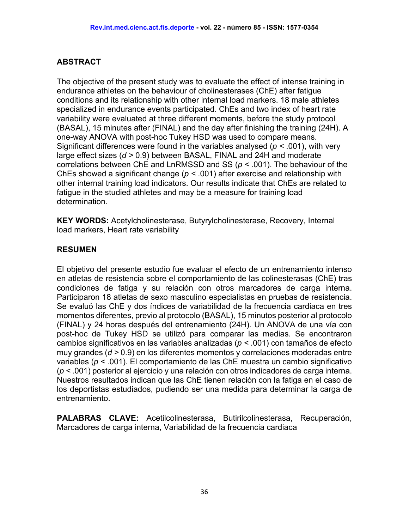# **ABSTRACT**

The objective of the present study was to evaluate the effect of intense training in endurance athletes on the behaviour of cholinesterases (ChE) after fatigue conditions and its relationship with other internal load markers. 18 male athletes specialized in endurance events participated. ChEs and two index of heart rate variability were evaluated at three different moments, before the study protocol (BASAL), 15 minutes after (FINAL) and the day after finishing the training (24H). A one-way ANOVA with post-hoc Tukey HSD was used to compare means. Significant differences were found in the variables analysed (*p <* .001), with very large effect sizes (*d >* 0.9) between BASAL, FINAL and 24H and moderate correlations between ChE and LnRMSSD and SS (*p <* .001). The behaviour of the ChEs showed a significant change (*p <* .001) after exercise and relationship with other internal training load indicators. Our results indicate that ChEs are related to fatigue in the studied athletes and may be a measure for training load determination.

**KEY WORDS:** Acetylcholinesterase, Butyrylcholinesterase, Recovery, Internal load markers, Heart rate variability

# **RESUMEN**

El objetivo del presente estudio fue evaluar el efecto de un entrenamiento intenso en atletas de resistencia sobre el comportamiento de las colinesterasas (ChE) tras condiciones de fatiga y su relación con otros marcadores de carga interna. Participaron 18 atletas de sexo masculino especialistas en pruebas de resistencia. Se evaluó las ChE y dos índices de variabilidad de la frecuencia cardiaca en tres momentos diferentes, previo al protocolo (BASAL), 15 minutos posterior al protocolo (FINAL) y 24 horas después del entrenamiento (24H). Un ANOVA de una vía con post-hoc de Tukey HSD se utilizó para comparar las medias. Se encontraron cambios significativos en las variables analizadas (*p <* .001) con tamaños de efecto muy grandes (*d >* 0.9) en los diferentes momentos y correlaciones moderadas entre variables (*p <* .001). El comportamiento de las ChE muestra un cambio significativo (*p <* .001) posterior al ejercicio y una relación con otros indicadores de carga interna. Nuestros resultados indican que las ChE tienen relación con la fatiga en el caso de los deportistas estudiados, pudiendo ser una medida para determinar la carga de entrenamiento.

**PALABRAS CLAVE:** Acetilcolinesterasa, Butirilcolinesterasa, Recuperación, Marcadores de carga interna, Variabilidad de la frecuencia cardiaca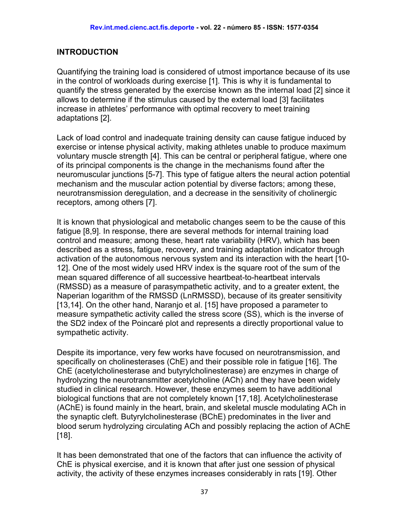#### **INTRODUCTION**

Quantifying the training load is considered of utmost importance because of its use in the control of workloads during exercise [1]. This is why it is fundamental to quantify the stress generated by the exercise known as the internal load [2] since it allows to determine if the stimulus caused by the external load [3] facilitates increase in athletes' performance with optimal recovery to meet training adaptations [2].

Lack of load control and inadequate training density can cause fatigue induced by exercise or intense physical activity, making athletes unable to produce maximum voluntary muscle strength [4]. This can be central or peripheral fatigue, where one of its principal components is the change in the mechanisms found after the neuromuscular junctions [5-7]. This type of fatigue alters the neural action potential mechanism and the muscular action potential by diverse factors; among these, neurotransmission deregulation, and a decrease in the sensitivity of cholinergic receptors, among others [7].

It is known that physiological and metabolic changes seem to be the cause of this fatigue [8,9]. In response, there are several methods for internal training load control and measure; among these, heart rate variability (HRV), which has been described as a stress, fatigue, recovery, and training adaptation indicator through activation of the autonomous nervous system and its interaction with the heart [10- 12]. One of the most widely used HRV index is the square root of the sum of the mean squared difference of all successive heartbeat-to-heartbeat intervals (RMSSD) as a measure of parasympathetic activity, and to a greater extent, the Naperian logarithm of the RMSSD (LnRMSSD), because of its greater sensitivity [13,14]. On the other hand, Naranjo et al. [15] have proposed a parameter to measure sympathetic activity called the stress score (SS), which is the inverse of the SD2 index of the Poincaré plot and represents a directly proportional value to sympathetic activity.

Despite its importance, very few works have focused on neurotransmission, and specifically on cholinesterases (ChE) and their possible role in fatigue [16]. The ChE (acetylcholinesterase and butyrylcholinesterase) are enzymes in charge of hydrolyzing the neurotransmitter acetylcholine (ACh) and they have been widely studied in clinical research. However, these enzymes seem to have additional biological functions that are not completely known [17,18]. Acetylcholinesterase (AChE) is found mainly in the heart, brain, and skeletal muscle modulating ACh in the synaptic cleft. Butyrylcholinesterase (BChE) predominates in the liver and blood serum hydrolyzing circulating ACh and possibly replacing the action of AChE [18].

It has been demonstrated that one of the factors that can influence the activity of ChE is physical exercise, and it is known that after just one session of physical activity, the activity of these enzymes increases considerably in rats [19]. Other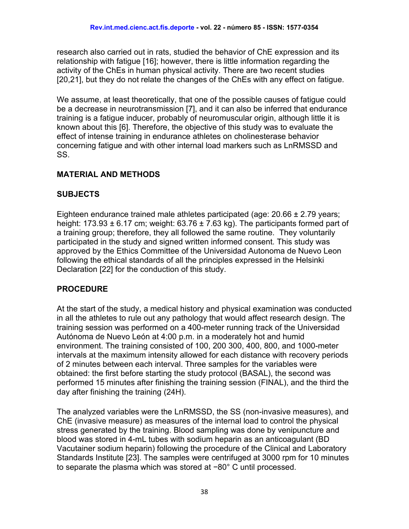research also carried out in rats, studied the behavior of ChE expression and its relationship with fatigue [16]; however, there is little information regarding the activity of the ChEs in human physical activity. There are two recent studies [20,21], but they do not relate the changes of the ChEs with any effect on fatigue.

We assume, at least theoretically, that one of the possible causes of fatigue could be a decrease in neurotransmission [7], and it can also be inferred that endurance training is a fatigue inducer, probably of neuromuscular origin, although little it is known about this [6]. Therefore, the objective of this study was to evaluate the effect of intense training in endurance athletes on cholinesterase behavior concerning fatigue and with other internal load markers such as LnRMSSD and SS.

#### **MATERIAL AND METHODS**

#### **SUBJECTS**

Eighteen endurance trained male athletes participated (age: 20.66 ± 2.79 years; height: 173.93  $\pm$  6.17 cm; weight: 63.76  $\pm$  7.63 kg). The participants formed part of a training group; therefore, they all followed the same routine. They voluntarily participated in the study and signed written informed consent. This study was approved by the Ethics Committee of the Universidad Autonoma de Nuevo Leon following the ethical standards of all the principles expressed in the Helsinki Declaration [22] for the conduction of this study.

# **PROCEDURE**

At the start of the study, a medical history and physical examination was conducted in all the athletes to rule out any pathology that would affect research design. The training session was performed on a 400-meter running track of the Universidad Autónoma de Nuevo León at 4:00 p.m. in a moderately hot and humid environment. The training consisted of 100, 200 300, 400, 800, and 1000-meter intervals at the maximum intensity allowed for each distance with recovery periods of 2 minutes between each interval. Three samples for the variables were obtained: the first before starting the study protocol (BASAL), the second was performed 15 minutes after finishing the training session (FINAL), and the third the day after finishing the training (24H).

The analyzed variables were the LnRMSSD, the SS (non-invasive measures), and ChE (invasive measure) as measures of the internal load to control the physical stress generated by the training. Blood sampling was done by venipuncture and blood was stored in 4-mL tubes with sodium heparin as an anticoagulant (BD Vacutainer sodium heparin) following the procedure of the Clinical and Laboratory Standards Institute [23]. The samples were centrifuged at 3000 rpm for 10 minutes to separate the plasma which was stored at −80° C until processed.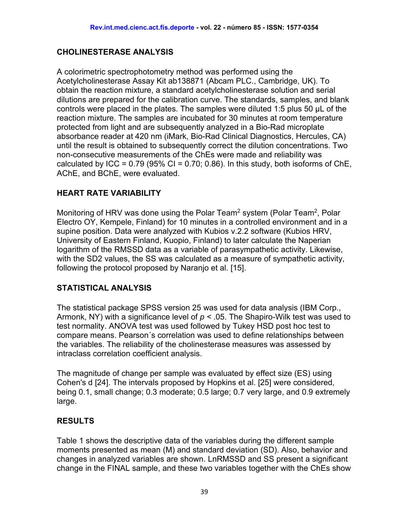#### **CHOLINESTERASE ANALYSIS**

A colorimetric spectrophotometry method was performed using the Acetylcholinesterase Assay Kit ab138871 (Abcam PLC., Cambridge, UK). To obtain the reaction mixture, a standard acetylcholinesterase solution and serial dilutions are prepared for the calibration curve. The standards, samples, and blank controls were placed in the plates. The samples were diluted 1:5 plus 50 µL of the reaction mixture. The samples are incubated for 30 minutes at room temperature protected from light and are subsequently analyzed in a Bio-Rad microplate absorbance reader at 420 nm (iMark, Bio-Rad Clinical Diagnostics, Hercules, CA) until the result is obtained to subsequently correct the dilution concentrations. Two non-consecutive measurements of the ChEs were made and reliability was calculated by ICC =  $0.79$  (95% CI =  $0.70$ ;  $0.86$ ). In this study, both isoforms of ChE, AChE, and BChE, were evaluated.

#### **HEART RATE VARIABILITY**

Monitoring of HRV was done using the Polar Team<sup>2</sup> system (Polar Team<sup>2</sup>, Polar Electro OY, Kempele, Finland) for 10 minutes in a controlled environment and in a supine position. Data were analyzed with Kubios v.2.2 software (Kubios HRV, University of Eastern Finland, Kuopio, Finland) to later calculate the Naperian logarithm of the RMSSD data as a variable of parasympathetic activity. Likewise, with the SD2 values, the SS was calculated as a measure of sympathetic activity, following the protocol proposed by Naranjo et al. [15].

# **STATISTICAL ANALYSIS**

The statistical package SPSS version 25 was used for data analysis (IBM Corp., Armonk, NY) with a significance level of *p <* .05. The Shapiro-Wilk test was used to test normality. ANOVA test was used followed by Tukey HSD post hoc test to compare means. Pearson´s correlation was used to define relationships between the variables. The reliability of the cholinesterase measures was assessed by intraclass correlation coefficient analysis.

The magnitude of change per sample was evaluated by effect size (ES) using Cohen's d [24]. The intervals proposed by Hopkins et al. [25] were considered, being 0.1, small change; 0.3 moderate; 0.5 large; 0.7 very large, and 0.9 extremely large.

#### **RESULTS**

Table 1 shows the descriptive data of the variables during the different sample moments presented as mean (M) and standard deviation (SD). Also, behavior and changes in analyzed variables are shown. LnRMSSD and SS present a significant change in the FINAL sample, and these two variables together with the ChEs show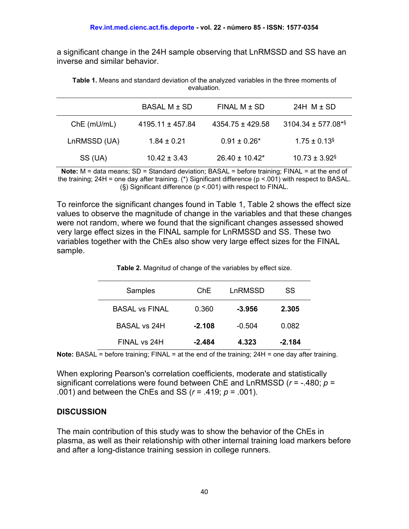a significant change in the 24H sample observing that LnRMSSD and SS have an inverse and similar behavior.

**Table 1.** Means and standard deviation of the analyzed variables in the three moments of evaluation.

|              | BASAL M ± SD         | $FINAL M \pm SD$    | 24H $M \pm SD$                 |
|--------------|----------------------|---------------------|--------------------------------|
| Che(mU/mL)   | $4195.11 \pm 457.84$ | 4354.75 ± 429.58    | 3104.34 ± 577.08 <sup>*§</sup> |
| LnRMSSD (UA) | $1.84 \pm 0.21$      | $0.91 \pm 0.26*$    | $1.75 \pm 0.13$ <sup>§</sup>   |
| SS (UA)      | $10.42 \pm 3.43$     | $26.40 \pm 10.42^*$ | $10.73 \pm 3.92$ <sup>§</sup>  |

**Note:** M = data means; SD = Standard deviation; BASAL = before training; FINAL = at the end of the training; 24H = one day after training. (\*) Significant difference (p <.001) with respect to BASAL. (§) Significant difference (p <.001) with respect to FINAL.

To reinforce the significant changes found in Table 1, Table 2 shows the effect size values to observe the magnitude of change in the variables and that these changes were not random, where we found that the significant changes assessed showed very large effect sizes in the FINAL sample for LnRMSSD and SS. These two variables together with the ChEs also show very large effect sizes for the FINAL sample.

| Samples               | ChE.     | LnRMSSD  | SS       |
|-----------------------|----------|----------|----------|
| <b>BASAL vs FINAL</b> | 0.360    | $-3.956$ | 2.305    |
| BASAL vs 24H          | $-2.108$ | $-0.504$ | 0.082    |
| FINAL vs 24H          | $-2.484$ | 4.323    | $-2.184$ |

**Table 2.** Magnitud of change of the variables by effect size.

**Note:** BASAL = before training; FINAL = at the end of the training; 24H = one day after training.

When exploring Pearson's correlation coefficients, moderate and statistically significant correlations were found between ChE and LnRMSSD (*r* = -.480; *p* = .001) and between the ChEs and SS (*r* = .419; *p* = .001).

#### **DISCUSSION**

The main contribution of this study was to show the behavior of the ChEs in plasma, as well as their relationship with other internal training load markers before and after a long-distance training session in college runners.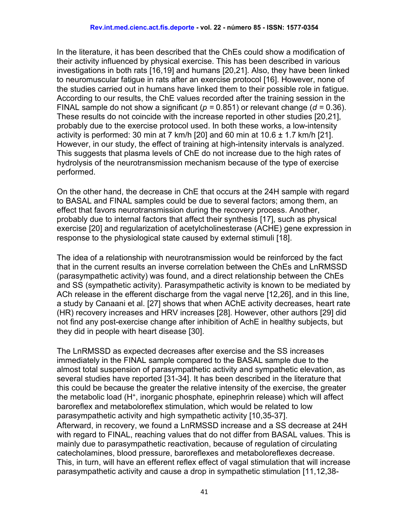In the literature, it has been described that the ChEs could show a modification of their activity influenced by physical exercise. This has been described in various investigations in both rats [16,19] and humans [20,21]. Also, they have been linked to neuromuscular fatigue in rats after an exercise protocol [16]. However, none of the studies carried out in humans have linked them to their possible role in fatigue. According to our results, the ChE values recorded after the training session in the FINAL sample do not show a significant (*p =* 0.851) or relevant change (*d =* 0.36). These results do not coincide with the increase reported in other studies [20,21], probably due to the exercise protocol used. In both these works, a low-intensity activity is performed: 30 min at 7 km/h  $[20]$  and 60 min at 10.6  $\pm$  1.7 km/h  $[21]$ . However, in our study, the effect of training at high-intensity intervals is analyzed. This suggests that plasma levels of ChE do not increase due to the high rates of hydrolysis of the neurotransmission mechanism because of the type of exercise performed.

On the other hand, the decrease in ChE that occurs at the 24H sample with regard to BASAL and FINAL samples could be due to several factors; among them, an effect that favors neurotransmission during the recovery process. Another, probably due to internal factors that affect their synthesis [17], such as physical exercise [20] and regularization of acetylcholinesterase (ACHE) gene expression in response to the physiological state caused by external stimuli [18].

The idea of a relationship with neurotransmission would be reinforced by the fact that in the current results an inverse correlation between the ChEs and LnRMSSD (parasympathetic activity) was found, and a direct relationship between the ChEs and SS (sympathetic activity). Parasympathetic activity is known to be mediated by ACh release in the efferent discharge from the vagal nerve [12,26], and in this line, a study by Canaani et al. [27] shows that when AChE activity decreases, heart rate (HR) recovery increases and HRV increases [28]. However, other authors [29] did not find any post-exercise change after inhibition of AchE in healthy subjects, but they did in people with heart disease [30].

The LnRMSSD as expected decreases after exercise and the SS increases immediately in the FINAL sample compared to the BASAL sample due to the almost total suspension of parasympathetic activity and sympathetic elevation, as several studies have reported [31-34]. It has been described in the literature that this could be because the greater the relative intensity of the exercise, the greater the metabolic load (H+, inorganic phosphate, epinephrin release) which will affect baroreflex and metaboloreflex stimulation, which would be related to low parasympathetic activity and high sympathetic activity [10,35-37]. Afterward, in recovery, we found a LnRMSSD increase and a SS decrease at 24H with regard to FINAL, reaching values that do not differ from BASAL values. This is mainly due to parasympathetic reactivation, because of regulation of circulating catecholamines, blood pressure, baroreflexes and metaboloreflexes decrease. This, in turn, will have an efferent reflex effect of vagal stimulation that will increase parasympathetic activity and cause a drop in sympathetic stimulation [11,12,38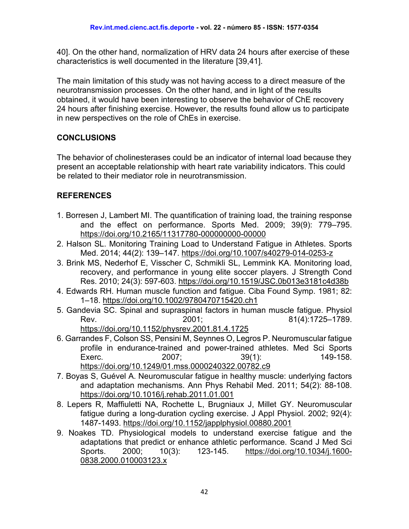40]. On the other hand, normalization of HRV data 24 hours after exercise of these characteristics is well documented in the literature [39,41].

The main limitation of this study was not having access to a direct measure of the neurotransmission processes. On the other hand, and in light of the results obtained, it would have been interesting to observe the behavior of ChE recovery 24 hours after finishing exercise. However, the results found allow us to participate in new perspectives on the role of ChEs in exercise.

# **CONCLUSIONS**

The behavior of cholinesterases could be an indicator of internal load because they present an acceptable relationship with heart rate variability indicators. This could be related to their mediator role in neurotransmission.

# **REFERENCES**

- 1. Borresen J, Lambert MI. The quantification of training load, the training response and the effect on performance. Sports Med. 2009; 39(9): 779–795. <https://doi.org/10.2165/11317780-000000000-00000>
- 2. Halson SL. Monitoring Training Load to Understand Fatigue in Athletes. Sports Med. 2014; 44(2): 139–147.<https://doi.org/10.1007/s40279-014-0253-z>
- 3. Brink MS, Nederhof E, Visscher C, Schmikli SL, Lemmink KA. Monitoring load, recovery, and performance in young elite soccer players. J Strength Cond Res. 2010; 24(3): 597-603.<https://doi.org/10.1519/JSC.0b013e3181c4d38b>
- 4. Edwards RH. Human muscle function and fatigue. Ciba Found Symp. 1981; 82: 1–18.<https://doi.org/10.1002/9780470715420.ch1>
- 5. Gandevia SC. Spinal and supraspinal factors in human muscle fatigue. Physiol Rev. 2001; 2001; 81(4):1725–1789.

<https://doi.org/10.1152/physrev.2001.81.4.1725>

- 6. Garrandes F, Colson SS, Pensini M, Seynnes O, Legros P. Neuromuscular fatigue profile in endurance-trained and power-trained athletes. Med Sci Sports Exerc. 2007; 39(1): 149-158. <https://doi.org/10.1249/01.mss.0000240322.00782.c9>
- 7. Boyas S, Guével A. Neuromuscular fatigue in healthy muscle: underlying factors and adaptation mechanisms. Ann Phys Rehabil Med. 2011; 54(2): 88-108. <https://doi.org/10.1016/j.rehab.2011.01.001>
- 8. Lepers R, Maffiuletti NA, Rochette L, Brugniaux J, Millet GY. Neuromuscular fatigue during a long-duration cycling exercise. J Appl Physiol. 2002; 92(4): 1487-1493.<https://doi.org/10.1152/japplphysiol.00880.2001>
- 9. Noakes TD. Physiological models to understand exercise fatigue and the adaptations that predict or enhance athletic performance. Scand J Med Sci Sports. 2000; 10(3): 123-145. [https://doi.org/10.1034/j.1600-](https://doi.org/10.1034/j.1600-0838.2000.010003123.x) [0838.2000.010003123.x](https://doi.org/10.1034/j.1600-0838.2000.010003123.x)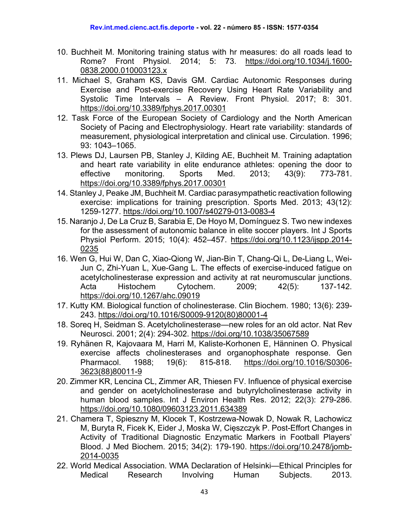- 10. Buchheit M. Monitoring training status with hr measures: do all roads lead to Rome? Front Physiol. 2014; 5: 73. [https://doi.org/10.1034/j.1600-](https://doi.org/10.1034/j.1600-0838.2000.010003123.x) [0838.2000.010003123.x](https://doi.org/10.1034/j.1600-0838.2000.010003123.x)
- 11. Michael S, Graham KS, Davis GM. Cardiac Autonomic Responses during Exercise and Post-exercise Recovery Using Heart Rate Variability and Systolic Time Intervals – A Review. Front Physiol. 2017; 8: 301. <https://doi.org/10.3389/fphys.2017.00301>
- 12. Task Force of the European Society of Cardiology and the North American Society of Pacing and Electrophysiology. Heart rate variability: standards of measurement, physiological interpretation and clinical use. Circulation. 1996; 93: 1043–1065.
- 13. Plews DJ, Laursen PB, Stanley J, Kilding AE, Buchheit M. Training adaptation and heart rate variability in elite endurance athletes: opening the door to effective monitoring. Sports Med. 2013; 43(9): 773-781. <https://doi.org/10.3389/fphys.2017.00301>
- 14. Stanley J, Peake JM, Buchheit M. Cardiac parasympathetic reactivation following exercise: implications for training prescription. Sports Med. 2013; 43(12): 1259-1277.<https://doi.org/10.1007/s40279-013-0083-4>
- 15. Naranjo J, De La Cruz B, Sarabia E, De Hoyo M, Domínguez S. Two new indexes for the assessment of autonomic balance in elite soccer players. Int J Sports Physiol Perform. 2015; 10(4): 452–457. [https://doi.org/10.1123/ijspp.2014-](https://doi.org/10.1123/ijspp.2014-0235) [0235](https://doi.org/10.1123/ijspp.2014-0235)
- 16. Wen G, Hui W, Dan C, Xiao-Qiong W, Jian-Bin T, Chang-Qi L, De-Liang L, Wei-Jun C, Zhi-Yuan L, Xue-Gang L. The effects of exercise-induced fatigue on acetylcholinesterase expression and activity at rat neuromuscular junctions. Acta Histochem Cytochem. 2009; 42(5): 137-142. <https://doi.org/10.1267/ahc.09019>
- 17. Kutty KM. Biological function of cholinesterase. Clin Biochem. 1980; 13(6): 239- 243. [https://doi.org/10.1016/S0009-9120\(80\)80001-4](https://doi.org/10.1016/S0009-9120(80)80001-4)
- 18. Soreq H, Seidman S. Acetylcholinesterase—new roles for an old actor. Nat Rev Neurosci. 2001; 2(4): 294-302.<https://doi.org/10.1038/35067589>
- 19. Ryhänen R, Kajovaara M, Harri M, Kaliste-Korhonen E, Hänninen O. Physical exercise affects cholinesterases and organophosphate response. Gen Pharmacol. 1988; 19(6): 815-818. [https://doi.org/10.1016/S0306-](https://doi.org/10.1016/S0306-3623(88)80011-9) [3623\(88\)80011-9](https://doi.org/10.1016/S0306-3623(88)80011-9)
- 20. Zimmer KR, Lencina CL, Zimmer AR, Thiesen FV. Influence of physical exercise and gender on acetylcholinesterase and butyrylcholinesterase activity in human blood samples. Int J Environ Health Res. 2012; 22(3): 279-286. <https://doi.org/10.1080/09603123.2011.634389>
- 21. Chamera T, Spieszny M, Klocek T, Kostrzewa-Nowak D, Nowak R, Lachowicz M, Buryta R, Ficek K, Eider J, Moska W, Cięszczyk P. Post-Effort Changes in Activity of Traditional Diagnostic Enzymatic Markers in Football Players' Blood. J Med Biochem. 2015; 34(2): 179-190. [https://doi.org/10.2478/jomb-](https://doi.org/10.2478/jomb-2014-0035)[2014-0035](https://doi.org/10.2478/jomb-2014-0035)
- 22. World Medical Association. WMA Declaration of Helsinki—Ethical Principles for Medical Research Involving Human Subjects. 2013.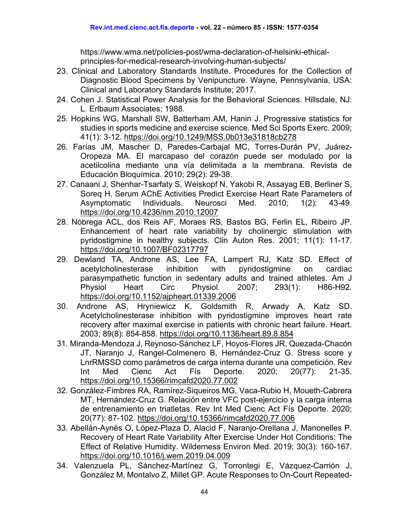https://www.wma.net/policies-post/wma-declaration-of-helsinki-ethicalprinciples-for-medical-research-involving-human-subjects/

- 23. Clinical and Laboratory Standards Institute. Procedures for the Collection of Diagnostic Blood Specimens by Venipuncture. Wayne, Pennsylvania, USA: Clinical and Laboratory Standards Institute; 2017.
- 24. Cohen J. Statistical Power Analysis for the Behavioral Sciences. Hillsdale, NJ: L. Erlbaum Associates; 1988.
- 25. Hopkins WG, Marshall SW, Batterham AM, Hanin J. Progressive statistics for studies in sports medicine and exercise science. Med Sci Sports Exerc. 2009; 41(1): 3-12.<https://doi.org/10.1249/MSS.0b013e31818cb278>
- 26. Farías JM, Mascher D, Paredes-Carbajal MC, Torres-Durán PV, Juárez-Oropeza MA. El marcapaso del corazón puede ser modulado por la acetilcolina mediante una vía delimitada a la membrana. Revista de Educación Bioquímica. 2010; 29(2): 29-38.
- 27. Canaani J, Shenhar-Tsarfaty S, Weiskopf N, Yakobi R, Assayag EB, Berliner S, Soreq H. Serum AChE Activities Predict Exercise Heart Rate Parameters of Asymptomatic Individuals. Neurosci Med. 2010; 1(2): 43-49. <https://doi.org/10.4236/nm.2010.12007>
- 28. Nóbrega ACL, dos Reis AF, Moraes RS, Bastos BG, Ferlin EL, Ribeiro JP. Enhancement of heart rate variability by cholinergic stimulation with pyridostigmine in healthy subjects. Clin Auton Res. 2001; 11(1): 11-17. <https://doi.org/10.1007/BF02317797>
- 29. Dewland TA, Androne AS, Lee FA, Lampert RJ, Katz SD. Effect of acetylcholinesterase inhibition with pyridostigmine on cardiac parasympathetic function in sedentary adults and trained athletes. Am J Physiol Heart Circ Physiol. 2007; 293(1): H86-H92. <https://doi.org/10.1152/ajpheart.01339.2006>
- 30. Androne AS, Hryniewicz K, Goldsmith R, Arwady A, Katz SD. Acetylcholinesterase inhibition with pyridostigmine improves heart rate recovery after maximal exercise in patients with chronic heart failure. Heart. 2003; 89(8): 854-858.<https://doi.org/10.1136/heart.89.8.854>
- 31. Miranda-Mendoza J, Reynoso-Sánchez LF, Hoyos-Flores JR, Quezada-Chacón JT, Naranjo J, Rangel-Colmenero B, Hernández-Cruz G. Stress score y LnrRMSSD como parámetros de carga interna durante una competición. Rev Int Med Cienc Act Fís Deporte. 2020; 20(77): 21-35. <https://doi.org/10.15366/rimcafd2020.77.002>
- 32. González-Fimbres RA, Ramírez-Siqueiros MG, Vaca-Rubio H, Moueth-Cabrera MT, Hernández-Cruz G. Relación entre VFC post-ejercicio y la carga interna de entrenamiento en triatletas. Rev Int Med Cienc Act Fís Deporte. 2020; 20(77): 87-102.<https://doi.org/10.15366/rimcafd2020.77.006>
- 33. Abellán-Aynés O, López-Plaza D, Alacid F, Naranjo-Orellana J, Manonelles P. Recovery of Heart Rate Variability After Exercise Under Hot Conditions: The Effect of Relative Humidity. Wilderness Environ Med. 2019; 30(3): 160-167. <https://doi.org/10.1016/j.wem.2019.04.009>
- 34. Valenzuela PL, Sánchez-Martínez G, Torrontegi E, Vázquez-Carrión J, González M, Montalvo Z, Millet GP. Acute Responses to On-Court Repeated-